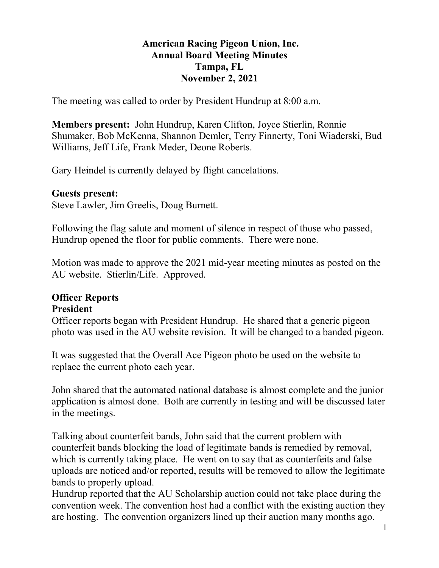#### American Racing Pigeon Union, Inc. Annual Board Meeting Minutes Tampa, FL November 2, 2021

The meeting was called to order by President Hundrup at 8:00 a.m.

Members present: John Hundrup, Karen Clifton, Joyce Stierlin, Ronnie Shumaker, Bob McKenna, Shannon Demler, Terry Finnerty, Toni Wiaderski, Bud Williams, Jeff Life, Frank Meder, Deone Roberts.

Gary Heindel is currently delayed by flight cancelations.

#### Guests present:

Steve Lawler, Jim Greelis, Doug Burnett.

Following the flag salute and moment of silence in respect of those who passed, Hundrup opened the floor for public comments. There were none.

Motion was made to approve the 2021 mid-year meeting minutes as posted on the AU website. Stierlin/Life. Approved.

#### Officer Reports

#### President

Officer reports began with President Hundrup. He shared that a generic pigeon photo was used in the AU website revision. It will be changed to a banded pigeon.

It was suggested that the Overall Ace Pigeon photo be used on the website to replace the current photo each year.

John shared that the automated national database is almost complete and the junior application is almost done. Both are currently in testing and will be discussed later in the meetings.

Talking about counterfeit bands, John said that the current problem with counterfeit bands blocking the load of legitimate bands is remedied by removal, which is currently taking place. He went on to say that as counterfeits and false uploads are noticed and/or reported, results will be removed to allow the legitimate bands to properly upload.

Hundrup reported that the AU Scholarship auction could not take place during the convention week. The convention host had a conflict with the existing auction they are hosting. The convention organizers lined up their auction many months ago.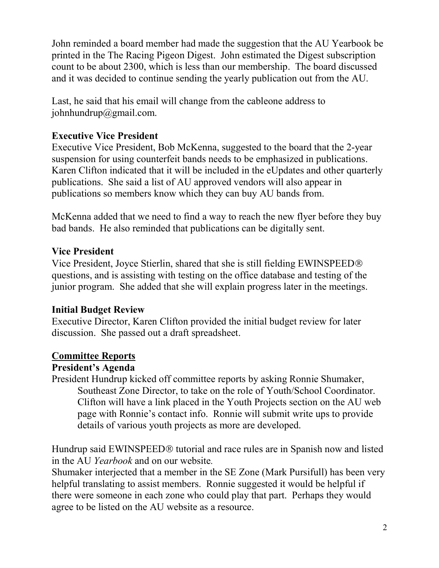John reminded a board member had made the suggestion that the AU Yearbook be printed in the The Racing Pigeon Digest. John estimated the Digest subscription count to be about 2300, which is less than our membership. The board discussed and it was decided to continue sending the yearly publication out from the AU.

Last, he said that his email will change from the cableone address to johnhundrup@gmail.com.

## Executive Vice President

Executive Vice President, Bob McKenna, suggested to the board that the 2-year suspension for using counterfeit bands needs to be emphasized in publications. Karen Clifton indicated that it will be included in the eUpdates and other quarterly publications. She said a list of AU approved vendors will also appear in publications so members know which they can buy AU bands from.

McKenna added that we need to find a way to reach the new flyer before they buy bad bands. He also reminded that publications can be digitally sent.

### Vice President

Vice President, Joyce Stierlin, shared that she is still fielding EWINSPEED questions, and is assisting with testing on the office database and testing of the junior program. She added that she will explain progress later in the meetings.

#### Initial Budget Review

Executive Director, Karen Clifton provided the initial budget review for later discussion. She passed out a draft spreadsheet.

### Committee Reports

#### President's Agenda

President Hundrup kicked off committee reports by asking Ronnie Shumaker, Southeast Zone Director, to take on the role of Youth/School Coordinator. Clifton will have a link placed in the Youth Projects section on the AU web page with Ronnie's contact info. Ronnie will submit write ups to provide details of various youth projects as more are developed.

Hundrup said EWINSPEED<sup>®</sup> tutorial and race rules are in Spanish now and listed in the AU Yearbook and on our website.

Shumaker interjected that a member in the SE Zone (Mark Pursifull) has been very helpful translating to assist members. Ronnie suggested it would be helpful if there were someone in each zone who could play that part. Perhaps they would agree to be listed on the AU website as a resource.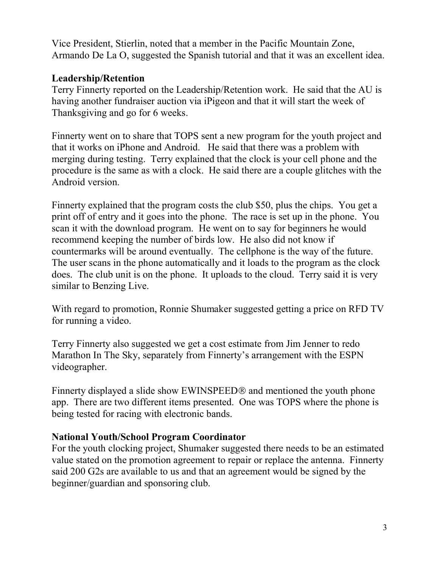Vice President, Stierlin, noted that a member in the Pacific Mountain Zone, Armando De La O, suggested the Spanish tutorial and that it was an excellent idea.

### Leadership/Retention

Terry Finnerty reported on the Leadership/Retention work. He said that the AU is having another fundraiser auction via iPigeon and that it will start the week of Thanksgiving and go for 6 weeks.

Finnerty went on to share that TOPS sent a new program for the youth project and that it works on iPhone and Android. He said that there was a problem with merging during testing. Terry explained that the clock is your cell phone and the procedure is the same as with a clock. He said there are a couple glitches with the Android version.

Finnerty explained that the program costs the club \$50, plus the chips. You get a print off of entry and it goes into the phone. The race is set up in the phone. You scan it with the download program. He went on to say for beginners he would recommend keeping the number of birds low. He also did not know if countermarks will be around eventually. The cellphone is the way of the future. The user scans in the phone automatically and it loads to the program as the clock does. The club unit is on the phone. It uploads to the cloud. Terry said it is very similar to Benzing Live.

With regard to promotion, Ronnie Shumaker suggested getting a price on RFD TV for running a video.

Terry Finnerty also suggested we get a cost estimate from Jim Jenner to redo Marathon In The Sky, separately from Finnerty's arrangement with the ESPN videographer.

Finnerty displayed a slide show EWINSPEED® and mentioned the youth phone app. There are two different items presented. One was TOPS where the phone is being tested for racing with electronic bands.

### National Youth/School Program Coordinator

For the youth clocking project, Shumaker suggested there needs to be an estimated value stated on the promotion agreement to repair or replace the antenna. Finnerty said 200 G2s are available to us and that an agreement would be signed by the beginner/guardian and sponsoring club.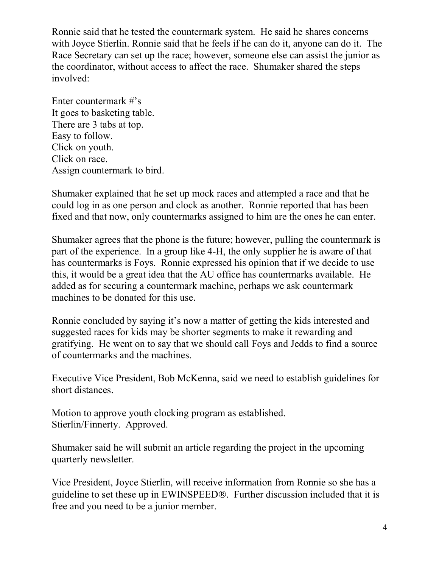Ronnie said that he tested the countermark system. He said he shares concerns with Joyce Stierlin. Ronnie said that he feels if he can do it, anyone can do it. The Race Secretary can set up the race; however, someone else can assist the junior as the coordinator, without access to affect the race. Shumaker shared the steps involved:

Enter countermark #'s It goes to basketing table. There are 3 tabs at top. Easy to follow. Click on youth. Click on race. Assign countermark to bird.

Shumaker explained that he set up mock races and attempted a race and that he could log in as one person and clock as another. Ronnie reported that has been fixed and that now, only countermarks assigned to him are the ones he can enter.

Shumaker agrees that the phone is the future; however, pulling the countermark is part of the experience. In a group like 4-H, the only supplier he is aware of that has countermarks is Foys. Ronnie expressed his opinion that if we decide to use this, it would be a great idea that the AU office has countermarks available. He added as for securing a countermark machine, perhaps we ask countermark machines to be donated for this use.

Ronnie concluded by saying it's now a matter of getting the kids interested and suggested races for kids may be shorter segments to make it rewarding and gratifying. He went on to say that we should call Foys and Jedds to find a source of countermarks and the machines.

Executive Vice President, Bob McKenna, said we need to establish guidelines for short distances.

Motion to approve youth clocking program as established. Stierlin/Finnerty. Approved.

Shumaker said he will submit an article regarding the project in the upcoming quarterly newsletter.

Vice President, Joyce Stierlin, will receive information from Ronnie so she has a guideline to set these up in EWINSPEED<sup>®</sup>. Further discussion included that it is free and you need to be a junior member.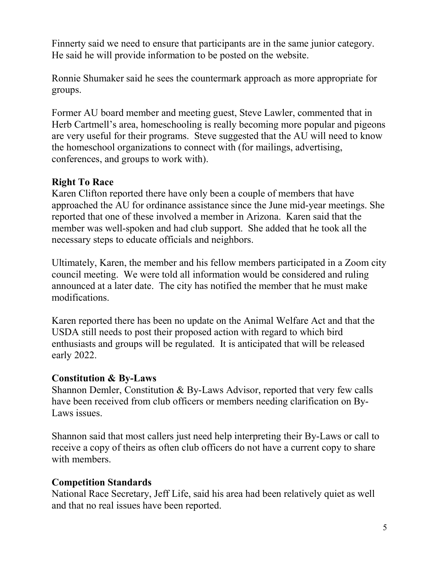Finnerty said we need to ensure that participants are in the same junior category. He said he will provide information to be posted on the website.

Ronnie Shumaker said he sees the countermark approach as more appropriate for groups.

Former AU board member and meeting guest, Steve Lawler, commented that in Herb Cartmell's area, homeschooling is really becoming more popular and pigeons are very useful for their programs. Steve suggested that the AU will need to know the homeschool organizations to connect with (for mailings, advertising, conferences, and groups to work with).

## Right To Race

Karen Clifton reported there have only been a couple of members that have approached the AU for ordinance assistance since the June mid-year meetings. She reported that one of these involved a member in Arizona. Karen said that the member was well-spoken and had club support. She added that he took all the necessary steps to educate officials and neighbors.

Ultimately, Karen, the member and his fellow members participated in a Zoom city council meeting. We were told all information would be considered and ruling announced at a later date. The city has notified the member that he must make modifications.

Karen reported there has been no update on the Animal Welfare Act and that the USDA still needs to post their proposed action with regard to which bird enthusiasts and groups will be regulated. It is anticipated that will be released early 2022.

### Constitution & By-Laws

Shannon Demler, Constitution & By-Laws Advisor, reported that very few calls have been received from club officers or members needing clarification on By-Laws issues.

Shannon said that most callers just need help interpreting their By-Laws or call to receive a copy of theirs as often club officers do not have a current copy to share with members.

## Competition Standards

National Race Secretary, Jeff Life, said his area had been relatively quiet as well and that no real issues have been reported.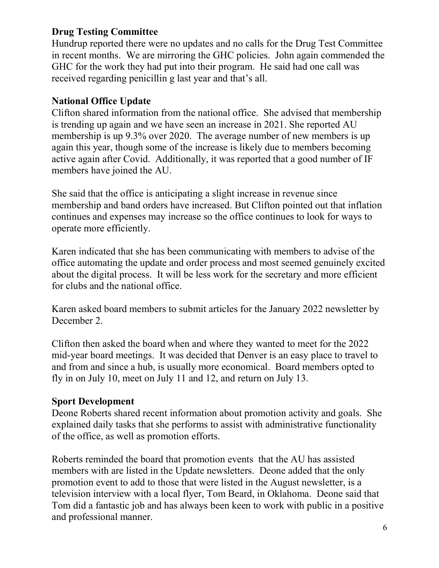## Drug Testing Committee

Hundrup reported there were no updates and no calls for the Drug Test Committee in recent months. We are mirroring the GHC policies. John again commended the GHC for the work they had put into their program. He said had one call was received regarding penicillin g last year and that's all.

## National Office Update

Clifton shared information from the national office. She advised that membership is trending up again and we have seen an increase in 2021. She reported AU membership is up 9.3% over 2020. The average number of new members is up again this year, though some of the increase is likely due to members becoming active again after Covid. Additionally, it was reported that a good number of IF members have joined the AU.

She said that the office is anticipating a slight increase in revenue since membership and band orders have increased. But Clifton pointed out that inflation continues and expenses may increase so the office continues to look for ways to operate more efficiently.

Karen indicated that she has been communicating with members to advise of the office automating the update and order process and most seemed genuinely excited about the digital process. It will be less work for the secretary and more efficient for clubs and the national office.

Karen asked board members to submit articles for the January 2022 newsletter by December 2.

Clifton then asked the board when and where they wanted to meet for the 2022 mid-year board meetings. It was decided that Denver is an easy place to travel to and from and since a hub, is usually more economical. Board members opted to fly in on July 10, meet on July 11 and 12, and return on July 13.

### Sport Development

Deone Roberts shared recent information about promotion activity and goals. She explained daily tasks that she performs to assist with administrative functionality of the office, as well as promotion efforts.

Roberts reminded the board that promotion events that the AU has assisted members with are listed in the Update newsletters. Deone added that the only promotion event to add to those that were listed in the August newsletter, is a television interview with a local flyer, Tom Beard, in Oklahoma. Deone said that Tom did a fantastic job and has always been keen to work with public in a positive and professional manner.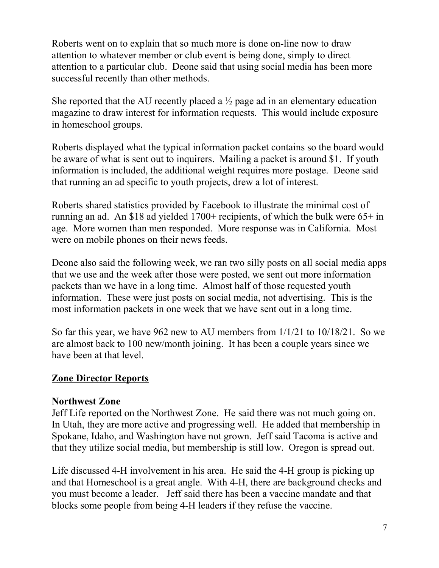Roberts went on to explain that so much more is done on-line now to draw attention to whatever member or club event is being done, simply to direct attention to a particular club. Deone said that using social media has been more successful recently than other methods.

She reported that the AU recently placed a  $\frac{1}{2}$  page ad in an elementary education magazine to draw interest for information requests. This would include exposure in homeschool groups.

Roberts displayed what the typical information packet contains so the board would be aware of what is sent out to inquirers. Mailing a packet is around \$1. If youth information is included, the additional weight requires more postage. Deone said that running an ad specific to youth projects, drew a lot of interest.

Roberts shared statistics provided by Facebook to illustrate the minimal cost of running an ad. An \$18 ad yielded 1700+ recipients, of which the bulk were 65+ in age. More women than men responded. More response was in California. Most were on mobile phones on their news feeds.

Deone also said the following week, we ran two silly posts on all social media apps that we use and the week after those were posted, we sent out more information packets than we have in a long time. Almost half of those requested youth information. These were just posts on social media, not advertising. This is the most information packets in one week that we have sent out in a long time.

So far this year, we have 962 new to AU members from 1/1/21 to 10/18/21. So we are almost back to 100 new/month joining. It has been a couple years since we have been at that level.

### Zone Director Reports

### Northwest Zone

Jeff Life reported on the Northwest Zone. He said there was not much going on. In Utah, they are more active and progressing well. He added that membership in Spokane, Idaho, and Washington have not grown. Jeff said Tacoma is active and that they utilize social media, but membership is still low. Oregon is spread out.

Life discussed 4-H involvement in his area. He said the 4-H group is picking up and that Homeschool is a great angle. With 4-H, there are background checks and you must become a leader. Jeff said there has been a vaccine mandate and that blocks some people from being 4-H leaders if they refuse the vaccine.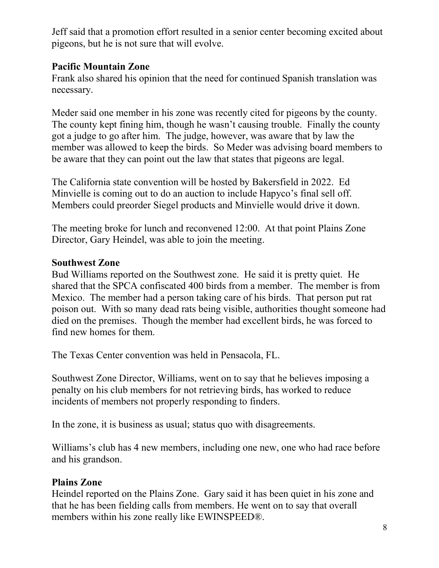Jeff said that a promotion effort resulted in a senior center becoming excited about pigeons, but he is not sure that will evolve.

## Pacific Mountain Zone

Frank also shared his opinion that the need for continued Spanish translation was necessary.

Meder said one member in his zone was recently cited for pigeons by the county. The county kept fining him, though he wasn't causing trouble. Finally the county got a judge to go after him. The judge, however, was aware that by law the member was allowed to keep the birds. So Meder was advising board members to be aware that they can point out the law that states that pigeons are legal.

The California state convention will be hosted by Bakersfield in 2022. Ed Minvielle is coming out to do an auction to include Hapyco's final sell off. Members could preorder Siegel products and Minvielle would drive it down.

The meeting broke for lunch and reconvened 12:00. At that point Plains Zone Director, Gary Heindel, was able to join the meeting.

## Southwest Zone

Bud Williams reported on the Southwest zone. He said it is pretty quiet. He shared that the SPCA confiscated 400 birds from a member. The member is from Mexico. The member had a person taking care of his birds. That person put rat poison out. With so many dead rats being visible, authorities thought someone had died on the premises. Though the member had excellent birds, he was forced to find new homes for them.

The Texas Center convention was held in Pensacola, FL.

Southwest Zone Director, Williams, went on to say that he believes imposing a penalty on his club members for not retrieving birds, has worked to reduce incidents of members not properly responding to finders.

In the zone, it is business as usual; status quo with disagreements.

Williams's club has 4 new members, including one new, one who had race before and his grandson.

# Plains Zone

Heindel reported on the Plains Zone. Gary said it has been quiet in his zone and that he has been fielding calls from members. He went on to say that overall members within his zone really like EWINSPEED®.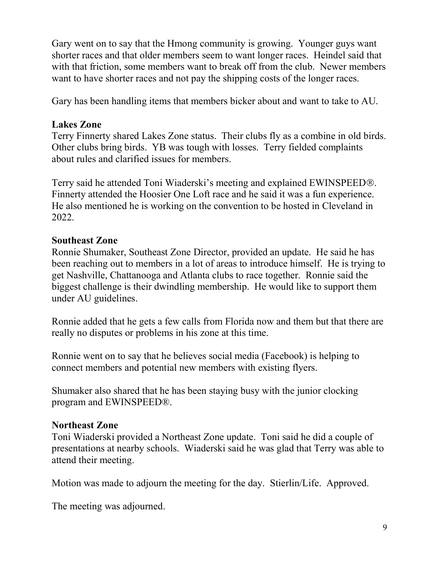Gary went on to say that the Hmong community is growing. Younger guys want shorter races and that older members seem to want longer races. Heindel said that with that friction, some members want to break off from the club. Newer members want to have shorter races and not pay the shipping costs of the longer races.

Gary has been handling items that members bicker about and want to take to AU.

#### Lakes Zone

Terry Finnerty shared Lakes Zone status. Their clubs fly as a combine in old birds. Other clubs bring birds. YB was tough with losses. Terry fielded complaints about rules and clarified issues for members.

Terry said he attended Toni Wiaderski's meeting and explained EWINSPEED. Finnerty attended the Hoosier One Loft race and he said it was a fun experience. He also mentioned he is working on the convention to be hosted in Cleveland in 2022.

#### Southeast Zone

Ronnie Shumaker, Southeast Zone Director, provided an update. He said he has been reaching out to members in a lot of areas to introduce himself. He is trying to get Nashville, Chattanooga and Atlanta clubs to race together. Ronnie said the biggest challenge is their dwindling membership. He would like to support them under AU guidelines.

Ronnie added that he gets a few calls from Florida now and them but that there are really no disputes or problems in his zone at this time.

Ronnie went on to say that he believes social media (Facebook) is helping to connect members and potential new members with existing flyers.

Shumaker also shared that he has been staying busy with the junior clocking program and EWINSPEED®.

### Northeast Zone

Toni Wiaderski provided a Northeast Zone update. Toni said he did a couple of presentations at nearby schools. Wiaderski said he was glad that Terry was able to attend their meeting.

Motion was made to adjourn the meeting for the day. Stierlin/Life. Approved.

The meeting was adjourned.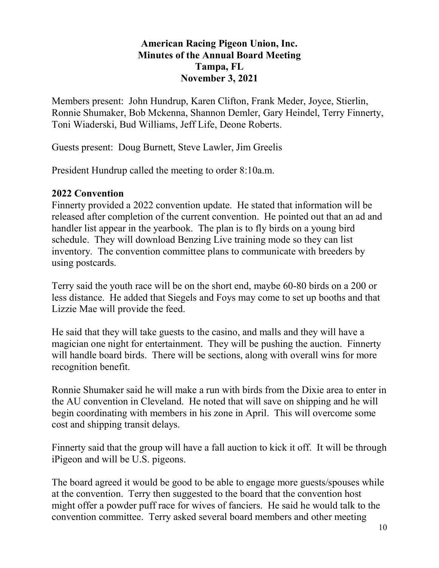#### American Racing Pigeon Union, Inc. Minutes of the Annual Board Meeting Tampa, FL November 3, 2021

Members present: John Hundrup, Karen Clifton, Frank Meder, Joyce, Stierlin, Ronnie Shumaker, Bob Mckenna, Shannon Demler, Gary Heindel, Terry Finnerty, Toni Wiaderski, Bud Williams, Jeff Life, Deone Roberts.

Guests present: Doug Burnett, Steve Lawler, Jim Greelis

President Hundrup called the meeting to order 8:10a.m.

## 2022 Convention

Finnerty provided a 2022 convention update. He stated that information will be released after completion of the current convention. He pointed out that an ad and handler list appear in the yearbook. The plan is to fly birds on a young bird schedule. They will download Benzing Live training mode so they can list inventory. The convention committee plans to communicate with breeders by using postcards.

Terry said the youth race will be on the short end, maybe 60-80 birds on a 200 or less distance. He added that Siegels and Foys may come to set up booths and that Lizzie Mae will provide the feed.

He said that they will take guests to the casino, and malls and they will have a magician one night for entertainment. They will be pushing the auction. Finnerty will handle board birds. There will be sections, along with overall wins for more recognition benefit.

Ronnie Shumaker said he will make a run with birds from the Dixie area to enter in the AU convention in Cleveland. He noted that will save on shipping and he will begin coordinating with members in his zone in April. This will overcome some cost and shipping transit delays.

Finnerty said that the group will have a fall auction to kick it off. It will be through iPigeon and will be U.S. pigeons.

The board agreed it would be good to be able to engage more guests/spouses while at the convention. Terry then suggested to the board that the convention host might offer a powder puff race for wives of fanciers. He said he would talk to the convention committee. Terry asked several board members and other meeting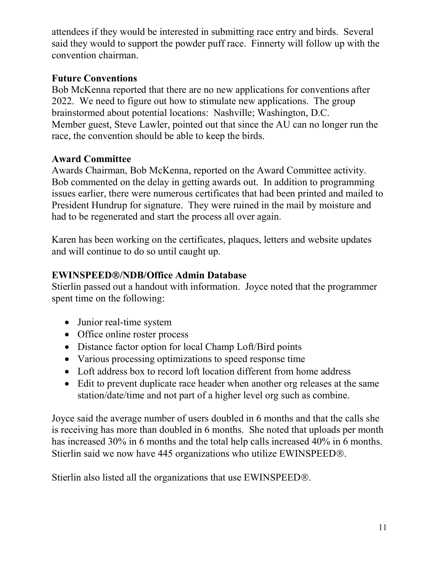attendees if they would be interested in submitting race entry and birds. Several said they would to support the powder puff race. Finnerty will follow up with the convention chairman.

## Future Conventions

Bob McKenna reported that there are no new applications for conventions after 2022. We need to figure out how to stimulate new applications. The group brainstormed about potential locations: Nashville; Washington, D.C. Member guest, Steve Lawler, pointed out that since the AU can no longer run the race, the convention should be able to keep the birds.

## Award Committee

Awards Chairman, Bob McKenna, reported on the Award Committee activity. Bob commented on the delay in getting awards out. In addition to programming issues earlier, there were numerous certificates that had been printed and mailed to President Hundrup for signature. They were ruined in the mail by moisture and had to be regenerated and start the process all over again.

Karen has been working on the certificates, plaques, letters and website updates and will continue to do so until caught up.

## EWINSPEED®/NDB/Office Admin Database

Stierlin passed out a handout with information. Joyce noted that the programmer spent time on the following:

- Junior real-time system
- Office online roster process
- Distance factor option for local Champ Loft/Bird points
- Various processing optimizations to speed response time
- Loft address box to record loft location different from home address
- Edit to prevent duplicate race header when another org releases at the same station/date/time and not part of a higher level org such as combine.

Joyce said the average number of users doubled in 6 months and that the calls she is receiving has more than doubled in 6 months. She noted that uploads per month has increased 30% in 6 months and the total help calls increased 40% in 6 months. Stierlin said we now have 445 organizations who utilize EWINSPEED<sup>®</sup>.

Stierlin also listed all the organizations that use EWINSPEED<sup>®</sup>.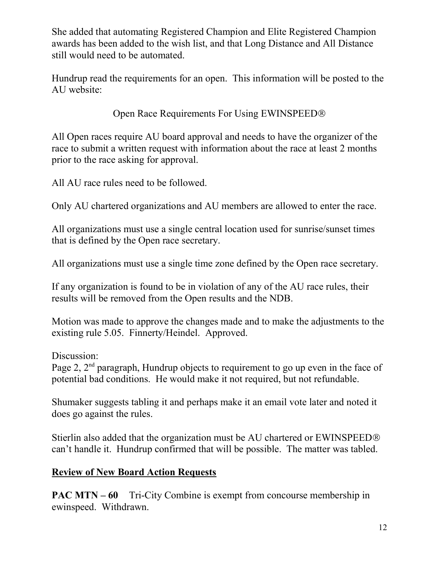She added that automating Registered Champion and Elite Registered Champion awards has been added to the wish list, and that Long Distance and All Distance still would need to be automated.

Hundrup read the requirements for an open. This information will be posted to the AU website:

Open Race Requirements For Using EWINSPEED

All Open races require AU board approval and needs to have the organizer of the race to submit a written request with information about the race at least 2 months prior to the race asking for approval.

All AU race rules need to be followed.

Only AU chartered organizations and AU members are allowed to enter the race.

All organizations must use a single central location used for sunrise/sunset times that is defined by the Open race secretary.

All organizations must use a single time zone defined by the Open race secretary.

If any organization is found to be in violation of any of the AU race rules, their results will be removed from the Open results and the NDB.

Motion was made to approve the changes made and to make the adjustments to the existing rule 5.05. Finnerty/Heindel. Approved.

Discussion:

Page 2,  $2<sup>nd</sup>$  paragraph, Hundrup objects to requirement to go up even in the face of potential bad conditions. He would make it not required, but not refundable.

Shumaker suggests tabling it and perhaps make it an email vote later and noted it does go against the rules.

Stierlin also added that the organization must be AU chartered or EWINSPEED can't handle it. Hundrup confirmed that will be possible. The matter was tabled.

# Review of New Board Action Requests

PAC MTN – 60 Tri-City Combine is exempt from concourse membership in ewinspeed. Withdrawn.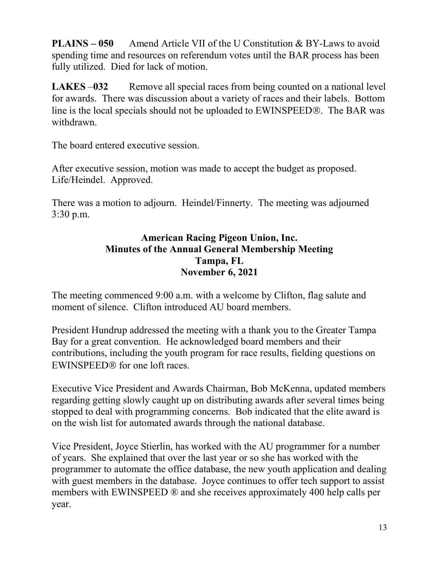PLAINS – 050 Amend Article VII of the U Constitution & BY-Laws to avoid spending time and resources on referendum votes until the BAR process has been fully utilized. Died for lack of motion.

LAKES –032 Remove all special races from being counted on a national level for awards. There was discussion about a variety of races and their labels. Bottom line is the local specials should not be uploaded to EWINSPEED<sup>®</sup>. The BAR was withdrawn.

The board entered executive session.

After executive session, motion was made to accept the budget as proposed. Life/Heindel. Approved.

There was a motion to adjourn. Heindel/Finnerty. The meeting was adjourned 3:30 p.m.

#### American Racing Pigeon Union, Inc. Minutes of the Annual General Membership Meeting Tampa, FL November 6, 2021

The meeting commenced 9:00 a.m. with a welcome by Clifton, flag salute and moment of silence. Clifton introduced AU board members.

President Hundrup addressed the meeting with a thank you to the Greater Tampa Bay for a great convention. He acknowledged board members and their contributions, including the youth program for race results, fielding questions on  $EWINSPERD<sup>®</sup>$  for one loft races.

Executive Vice President and Awards Chairman, Bob McKenna, updated members regarding getting slowly caught up on distributing awards after several times being stopped to deal with programming concerns. Bob indicated that the elite award is on the wish list for automated awards through the national database.

Vice President, Joyce Stierlin, has worked with the AU programmer for a number of years. She explained that over the last year or so she has worked with the programmer to automate the office database, the new youth application and dealing with guest members in the database. Joyce continues to offer tech support to assist members with EWINSPEED ® and she receives approximately 400 help calls per year.